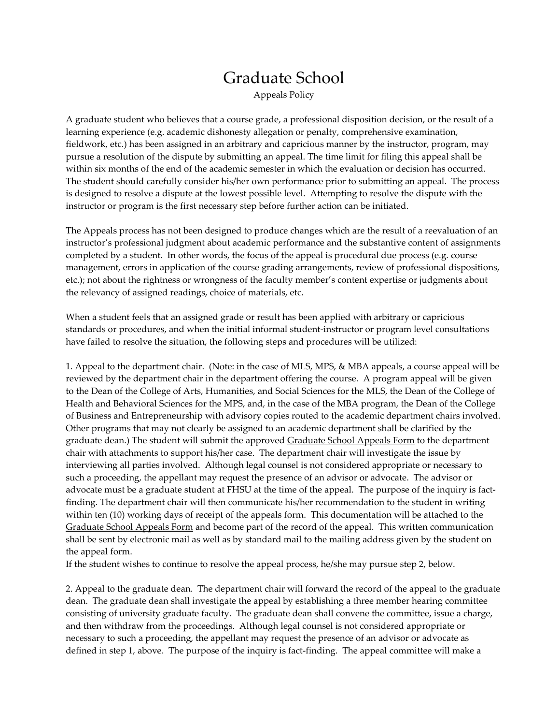## Graduate School

Appeals Policy

A graduate student who believes that a course grade, a professional disposition decision, or the result of a learning experience (e.g. academic dishonesty allegation or penalty, comprehensive examination, fieldwork, etc.) has been assigned in an arbitrary and capricious manner by the instructor, program, may pursue a resolution of the dispute by submitting an appeal. The time limit for filing this appeal shall be within six months of the end of the academic semester in which the evaluation or decision has occurred. The student should carefully consider his/her own performance prior to submitting an appeal. The process is designed to resolve a dispute at the lowest possible level. Attempting to resolve the dispute with the instructor or program is the first necessary step before further action can be initiated.

The Appeals process has not been designed to produce changes which are the result of a reevaluation of an instructor's professional judgment about academic performance and the substantive content of assignments completed by a student. In other words, the focus of the appeal is procedural due process (e.g. course management, errors in application of the course grading arrangements, review of professional dispositions, etc.); not about the rightness or wrongness of the faculty member's content expertise or judgments about the relevancy of assigned readings, choice of materials, etc.

When a student feels that an assigned grade or result has been applied with arbitrary or capricious standards or procedures, and when the initial informal student-instructor or program level consultations have failed to resolve the situation, the following steps and procedures will be utilized:

1. Appeal to the department chair. (Note: in the case of MLS, MPS, & MBA appeals, a course appeal will be reviewed by the department chair in the department offering the course. A program appeal will be given to the Dean of the College of Arts, Humanities, and Social Sciences for the MLS, the Dean of the College of Health and Behavioral Sciences for the MPS, and, in the case of the MBA program, the Dean of the College of Business and Entrepreneurship with advisory copies routed to the academic department chairs involved. Other programs that may not clearly be assigned to an academic department shall be clarified by the graduate dean.) The student will submit the approved Graduate School Appeals Form to the department chair with attachments to support his/her case. The department chair will investigate the issue by interviewing all parties involved. Although legal counsel is not considered appropriate or necessary to such a proceeding, the appellant may request the presence of an advisor or advocate. The advisor or advocate must be a graduate student at FHSU at the time of the appeal. The purpose of the inquiry is factfinding. The department chair will then communicate his/her recommendation to the student in writing within ten (10) working days of receipt of the appeals form. This documentation will be attached to the Graduate School Appeals Form and become part of the record of the appeal. This written communication shall be sent by electronic mail as well as by standard mail to the mailing address given by the student on the appeal form.

If the student wishes to continue to resolve the appeal process, he/she may pursue step 2, below.

2. Appeal to the graduate dean. The department chair will forward the record of the appeal to the graduate dean. The graduate dean shall investigate the appeal by establishing a three member hearing committee consisting of university graduate faculty. The graduate dean shall convene the committee, issue a charge, and then withdraw from the proceedings. Although legal counsel is not considered appropriate or necessary to such a proceeding, the appellant may request the presence of an advisor or advocate as defined in step 1, above. The purpose of the inquiry is fact-finding. The appeal committee will make a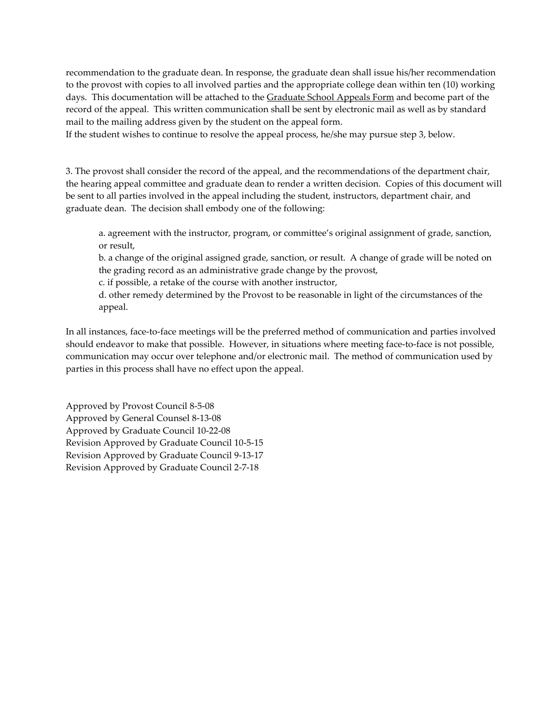recommendation to the graduate dean. In response, the graduate dean shall issue his/her recommendation to the provost with copies to all involved parties and the appropriate college dean within ten (10) working days. This documentation will be attached to the Graduate School Appeals Form and become part of the record of the appeal. This written communication shall be sent by electronic mail as well as by standard mail to the mailing address given by the student on the appeal form.

If the student wishes to continue to resolve the appeal process, he/she may pursue step 3, below.

3. The provost shall consider the record of the appeal, and the recommendations of the department chair, the hearing appeal committee and graduate dean to render a written decision. Copies of this document will be sent to all parties involved in the appeal including the student, instructors, department chair, and graduate dean. The decision shall embody one of the following:

a. agreement with the instructor, program, or committee's original assignment of grade, sanction, or result,

b. a change of the original assigned grade, sanction, or result. A change of grade will be noted on the grading record as an administrative grade change by the provost,

c. if possible, a retake of the course with another instructor,

d. other remedy determined by the Provost to be reasonable in light of the circumstances of the appeal.

In all instances, face-to-face meetings will be the preferred method of communication and parties involved should endeavor to make that possible. However, in situations where meeting face-to-face is not possible, communication may occur over telephone and/or electronic mail. The method of communication used by parties in this process shall have no effect upon the appeal.

Approved by Provost Council 8-5-08 Approved by General Counsel 8-13-08 Approved by Graduate Council 10-22-08 Revision Approved by Graduate Council 10-5-15 Revision Approved by Graduate Council 9-13-17 Revision Approved by Graduate Council 2-7-18